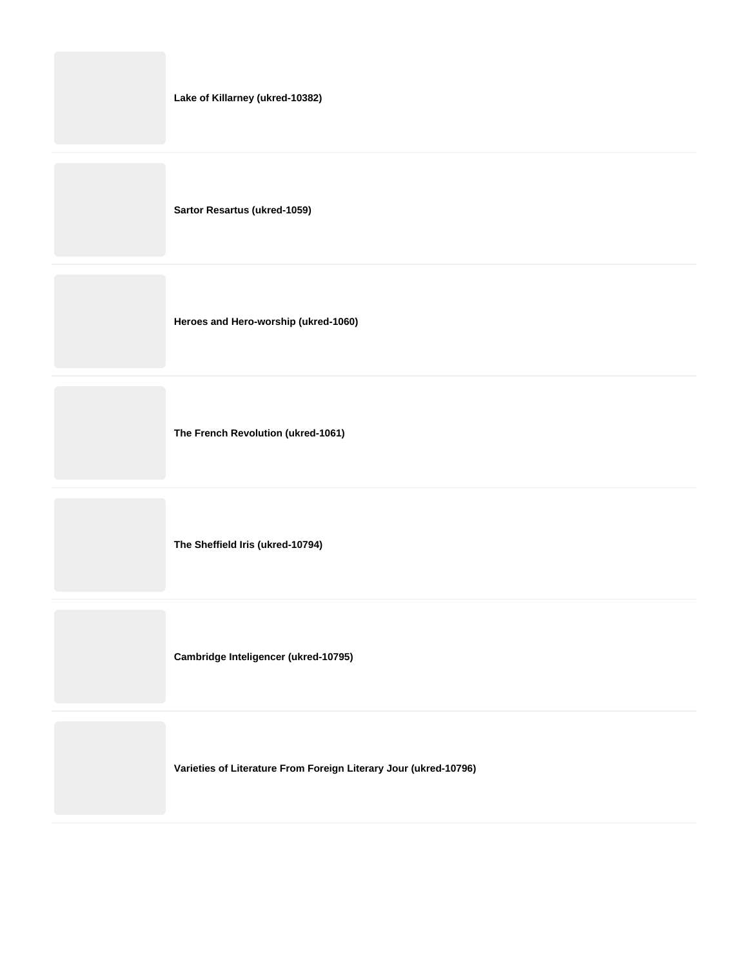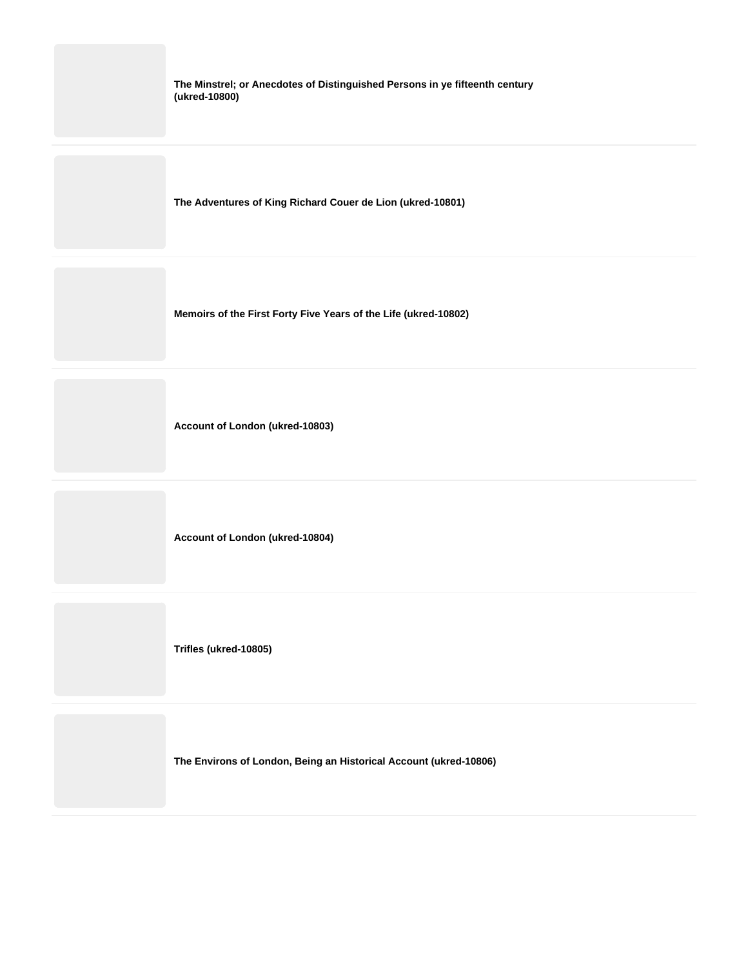| The Minstrel; or Anecdotes of Distinguished Persons in ye fifteenth century<br>(ukred-10800) |
|----------------------------------------------------------------------------------------------|
| The Adventures of King Richard Couer de Lion (ukred-10801)                                   |
| Memoirs of the First Forty Five Years of the Life (ukred-10802)                              |
| Account of London (ukred-10803)                                                              |
| Account of London (ukred-10804)                                                              |
| Trifles (ukred-10805)                                                                        |

**The Environs of London, Being an Historical Account (ukred-10806)**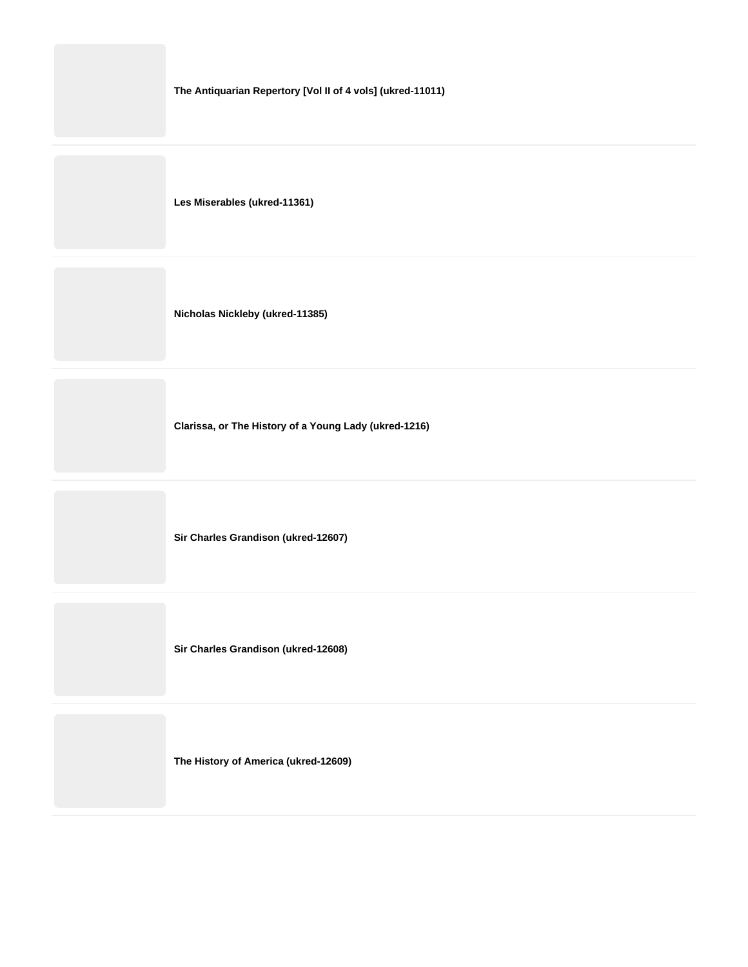| The Antiquarian Repertory [Vol II of 4 vols] (ukred-11011) |  |  |  |  |
|------------------------------------------------------------|--|--|--|--|
|------------------------------------------------------------|--|--|--|--|

**Les Miserables (ukred-11361)**

**Nicholas Nickleby (ukred-11385)**

**Clarissa, or The History of a Young Lady (ukred-1216)**

**Sir Charles Grandison (ukred-12607)**

**Sir Charles Grandison (ukred-12608)**

**The History of America (ukred-12609)**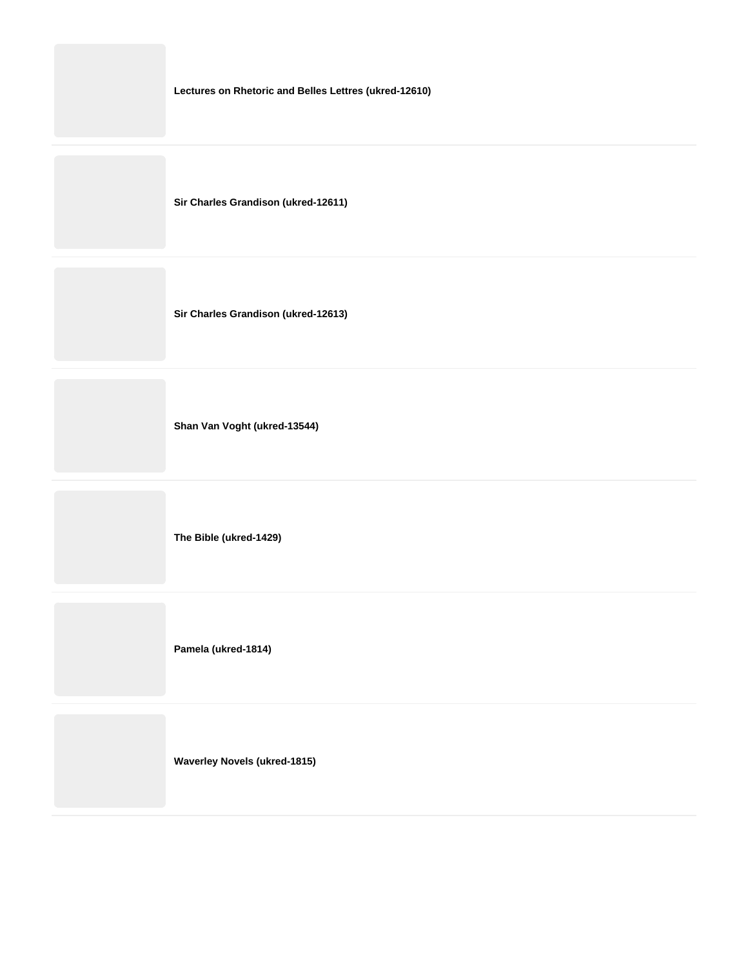**Lectures on Rhetoric and Belles Lettres (ukred-12610)**

**Sir Charles Grandison (ukred-12611)**

**Sir Charles Grandison (ukred-12613)**

**Shan Van Voght (ukred-13544)**

**The Bible (ukred-1429)**

**Pamela (ukred-1814)**

**Waverley Novels (ukred-1815)**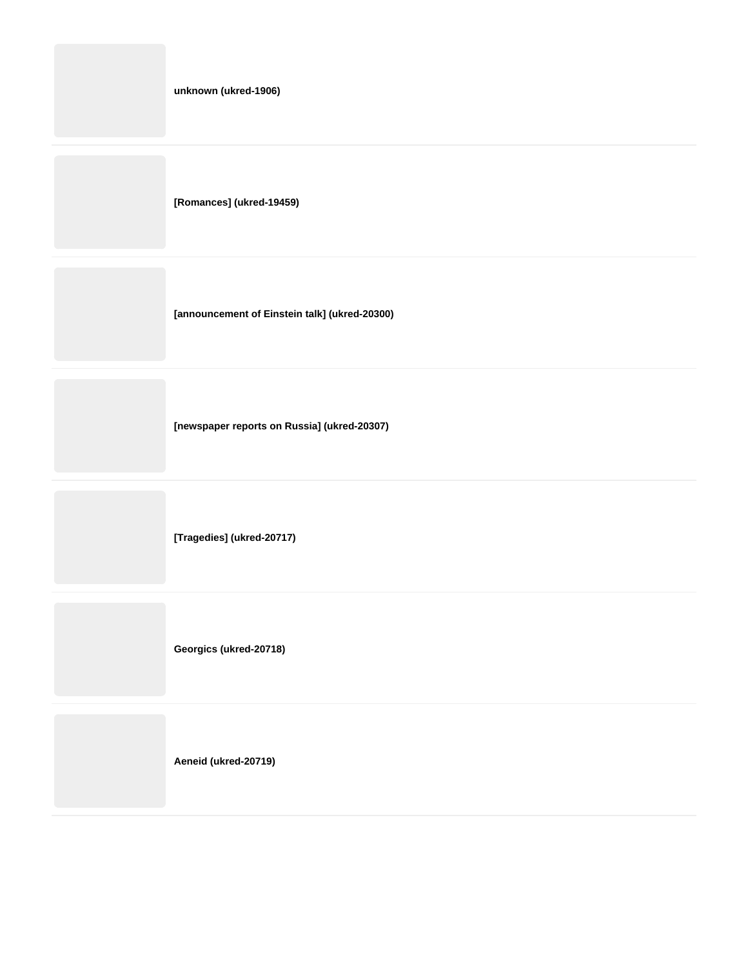**unknown (ukred-1906)**

**[Romances] (ukred-19459)**

**[announcement of Einstein talk] (ukred-20300)**

**[newspaper reports on Russia] (ukred-20307)**

**[Tragedies] (ukred-20717)**

**Georgics (ukred-20718)**

**Aeneid (ukred-20719)**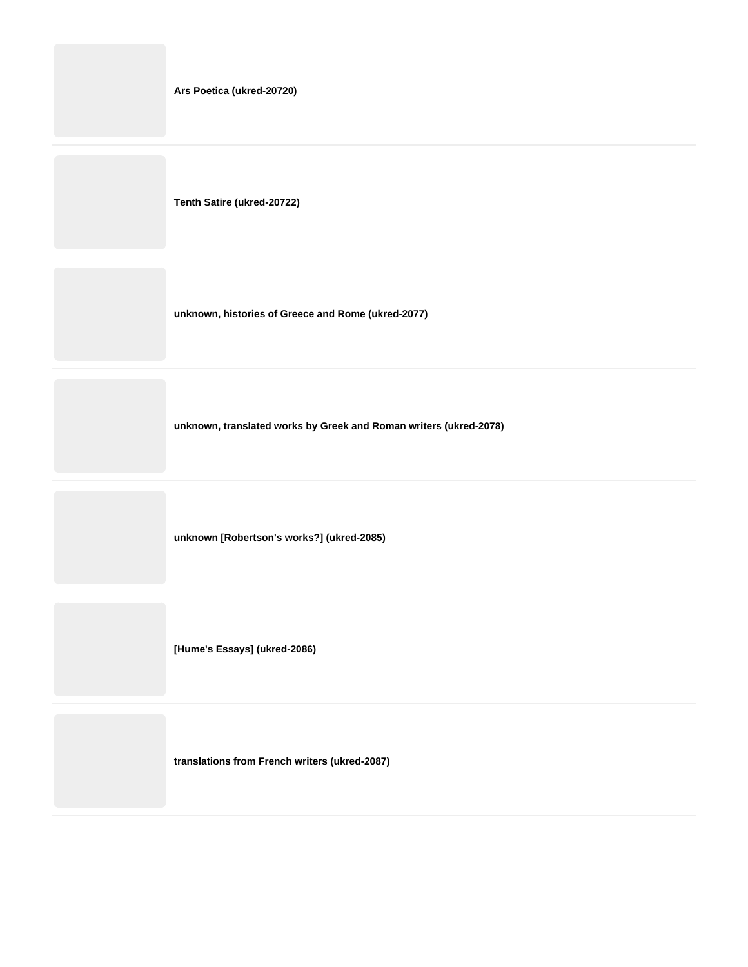**Ars Poetica (ukred-20720)**

**Tenth Satire (ukred-20722)**

**unknown, histories of Greece and Rome (ukred-2077)**

**unknown, translated works by Greek and Roman writers (ukred-2078)**

**unknown [Robertson's works?] (ukred-2085)**

**[Hume's Essays] (ukred-2086)**

**translations from French writers (ukred-2087)**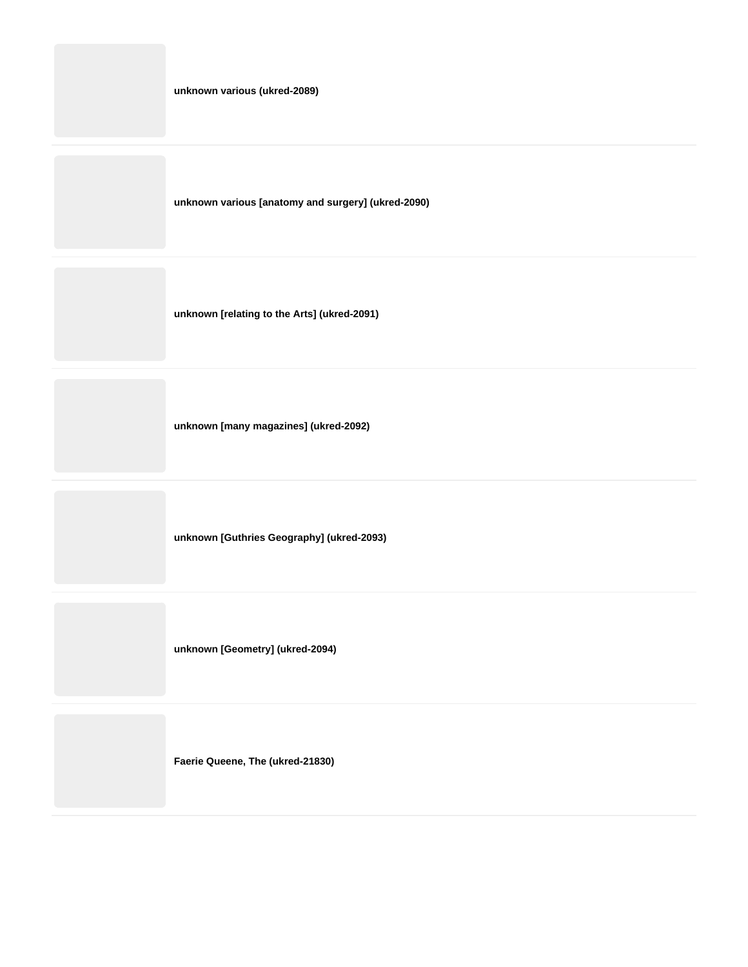|  | unknown various (ukred-2089) |  |
|--|------------------------------|--|
|  |                              |  |

**unknown various [anatomy and surgery] (ukred-2090)**

**unknown [relating to the Arts] (ukred-2091)**

**unknown [many magazines] (ukred-2092)**

**unknown [Guthries Geography] (ukred-2093)**

**unknown [Geometry] (ukred-2094)**

**Faerie Queene, The (ukred-21830)**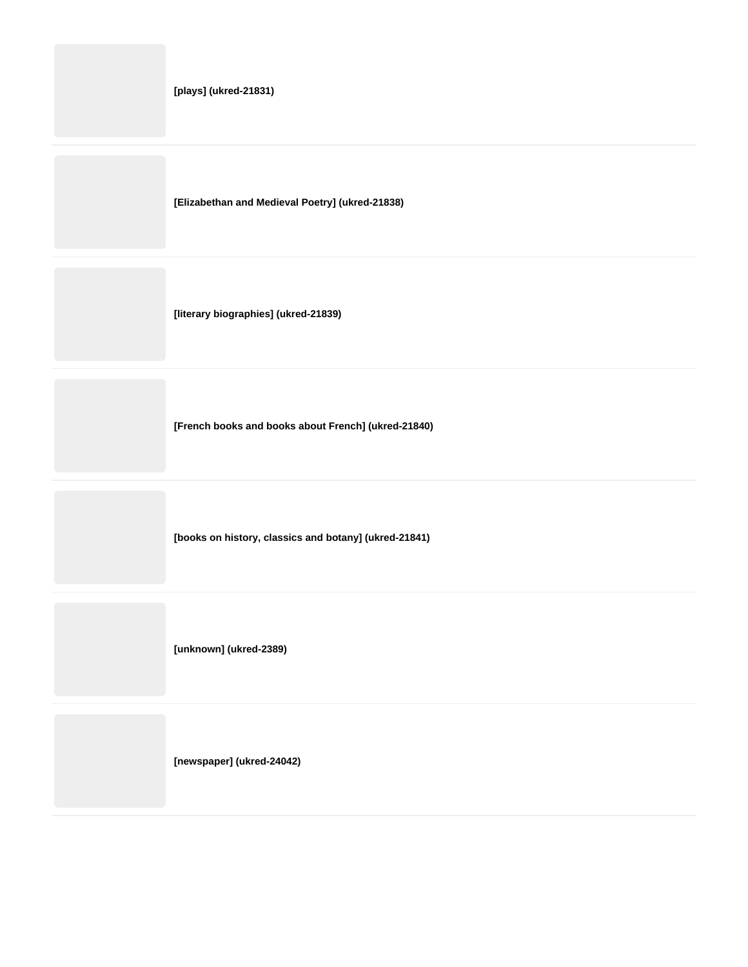| [plays] (ukred-21831) |  |
|-----------------------|--|
|-----------------------|--|

**[Elizabethan and Medieval Poetry] (ukred-21838)**

**[literary biographies] (ukred-21839)**

**[French books and books about French] (ukred-21840)**

**[books on history, classics and botany] (ukred-21841)**

**[unknown] (ukred-2389)**

**[newspaper] (ukred-24042)**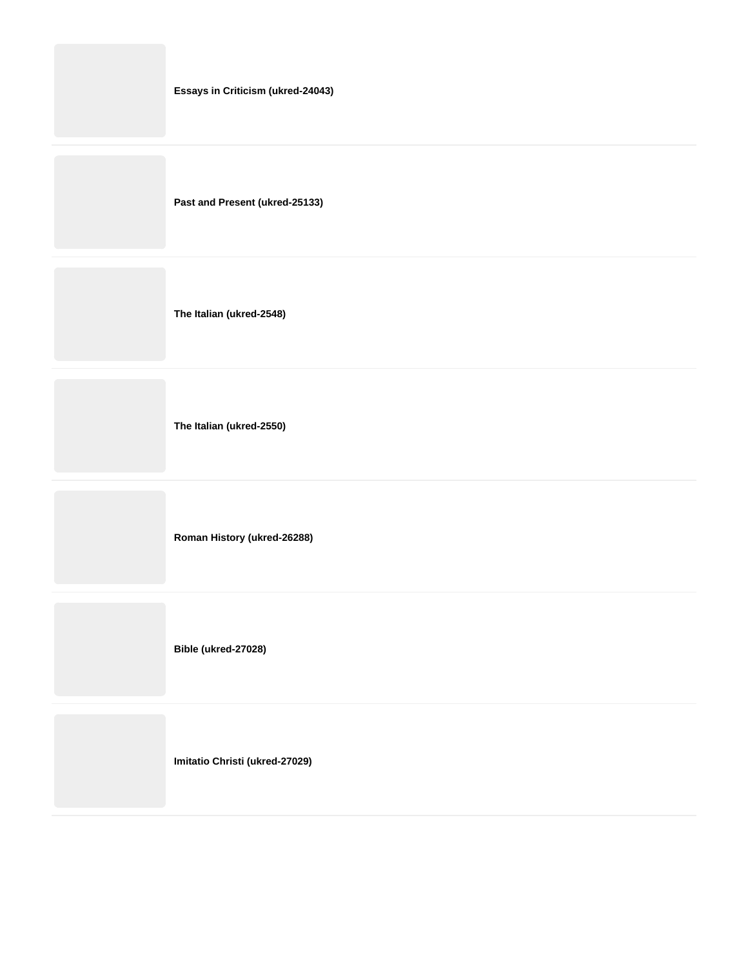| Essays in Criticism (ukred-24043) |
|-----------------------------------|
| Past and Present (ukred-25133)    |
| The Italian (ukred-2548)          |
| The Italian (ukred-2550)          |
| Roman History (ukred-26288)       |
| Bible (ukred-27028)               |

**Imitatio Christi (ukred-27029)**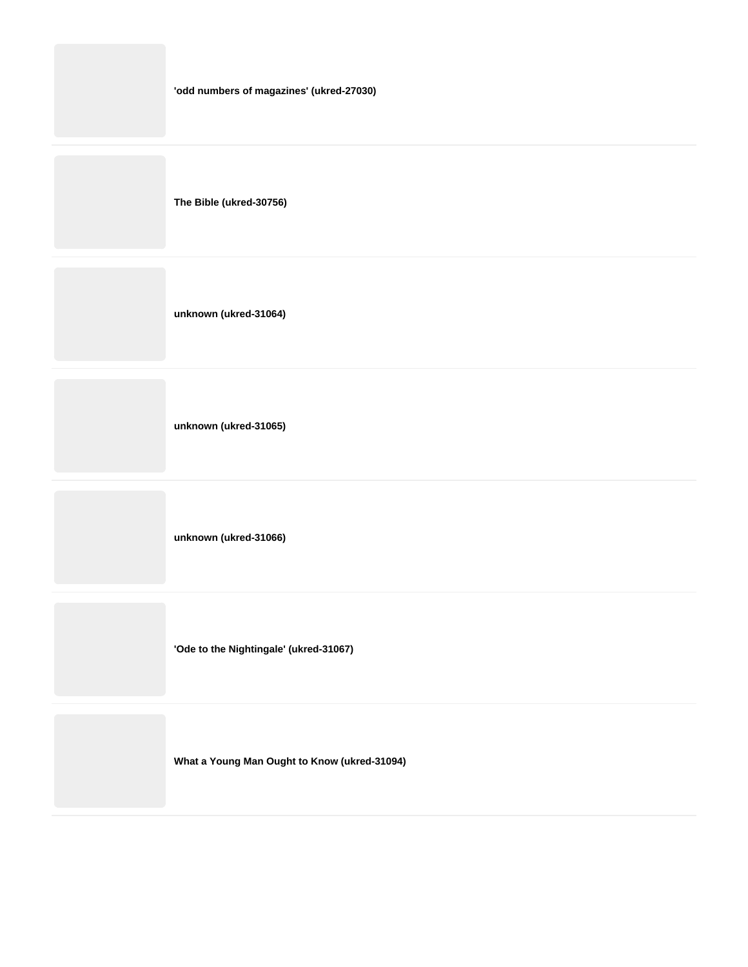| 'odd numbers of magazines' (ukred-27030) |  |
|------------------------------------------|--|
|------------------------------------------|--|

**The Bible (ukred-30756)**

**unknown (ukred-31064)**

**unknown (ukred-31065)**

**unknown (ukred-31066)**

**'Ode to the Nightingale' (ukred-31067)**

**What a Young Man Ought to Know (ukred-31094)**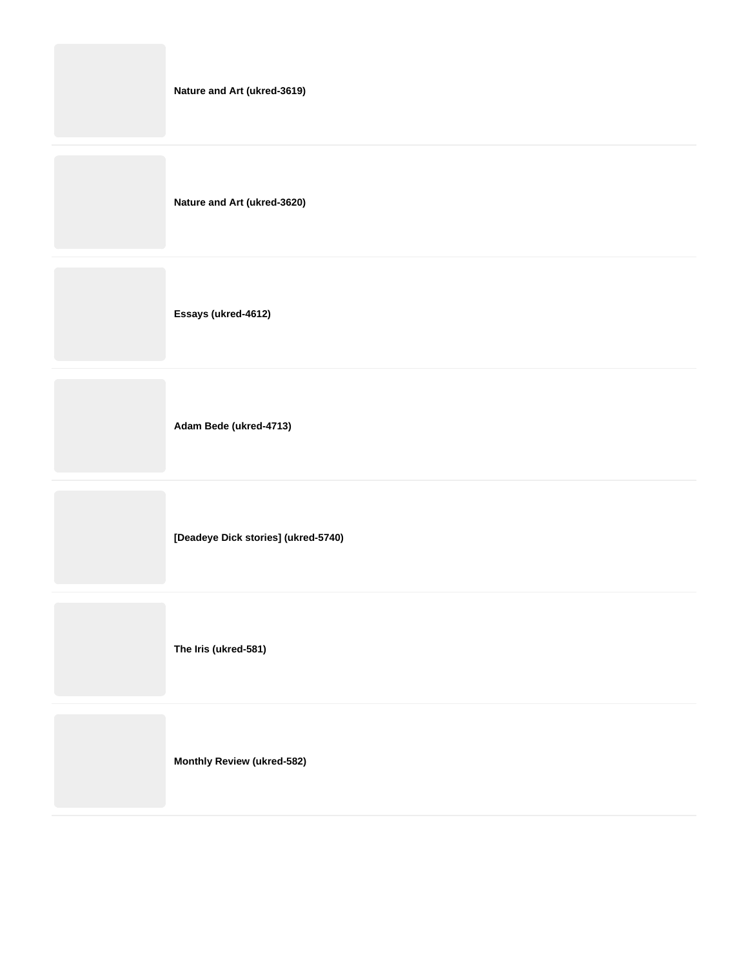| Nature and Art (ukred-3619) |
|-----------------------------|
| Nature and Art (ukred-3620) |
| Essays (ukred-4612)         |
| Adam Bede (ukred-4713)      |

**[Deadeye Dick stories] (ukred-5740)**

**The Iris (ukred-581)**

**Monthly Review (ukred-582)**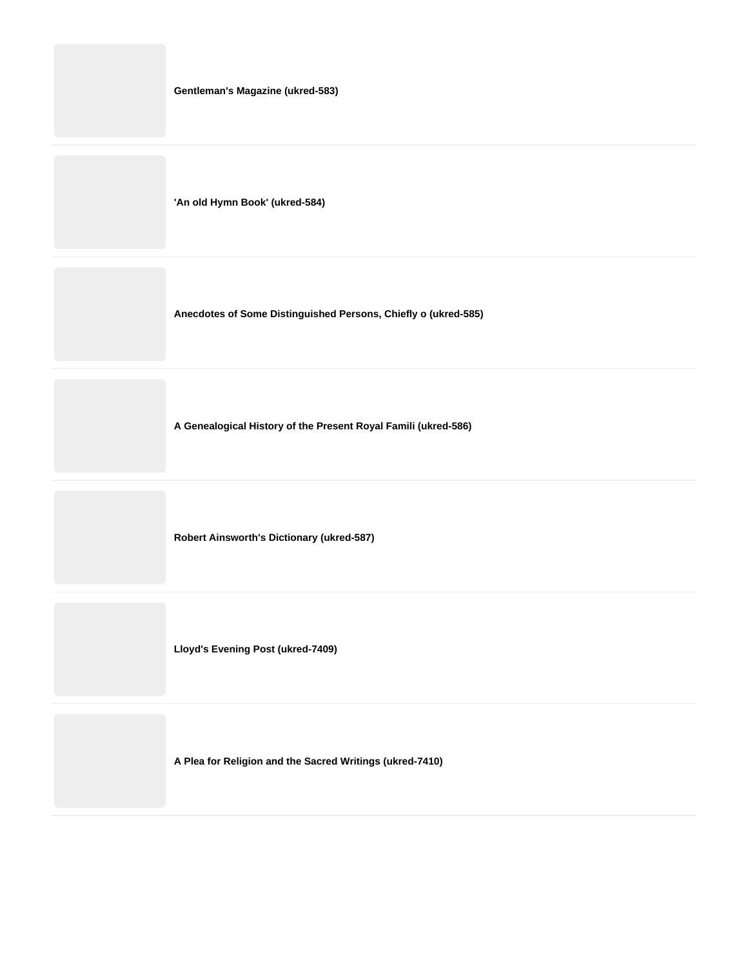**'An old Hymn Book' (ukred-584)**

**Anecdotes of Some Distinguished Persons, Chiefly o (ukred-585)**

**A Genealogical History of the Present Royal Famili (ukred-586)**

**Robert Ainsworth's Dictionary (ukred-587)**

**Lloyd's Evening Post (ukred-7409)**

**A Plea for Religion and the Sacred Writings (ukred-7410)**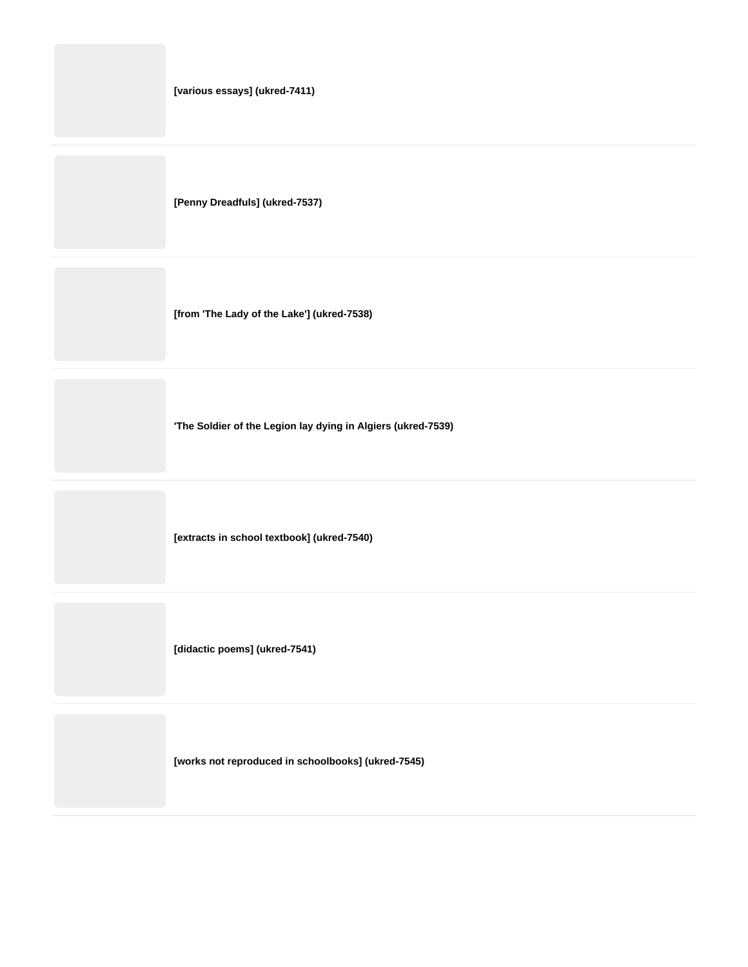|  |  | [various essays] (ukred-7411) |  |
|--|--|-------------------------------|--|
|--|--|-------------------------------|--|

**[Penny Dreadfuls] (ukred-7537)**

**[from 'The Lady of the Lake'] (ukred-7538)**

**'The Soldier of the Legion lay dying in Algiers (ukred-7539)**

**[extracts in school textbook] (ukred-7540)**

**[didactic poems] (ukred-7541)**

**[works not reproduced in schoolbooks] (ukred-7545)**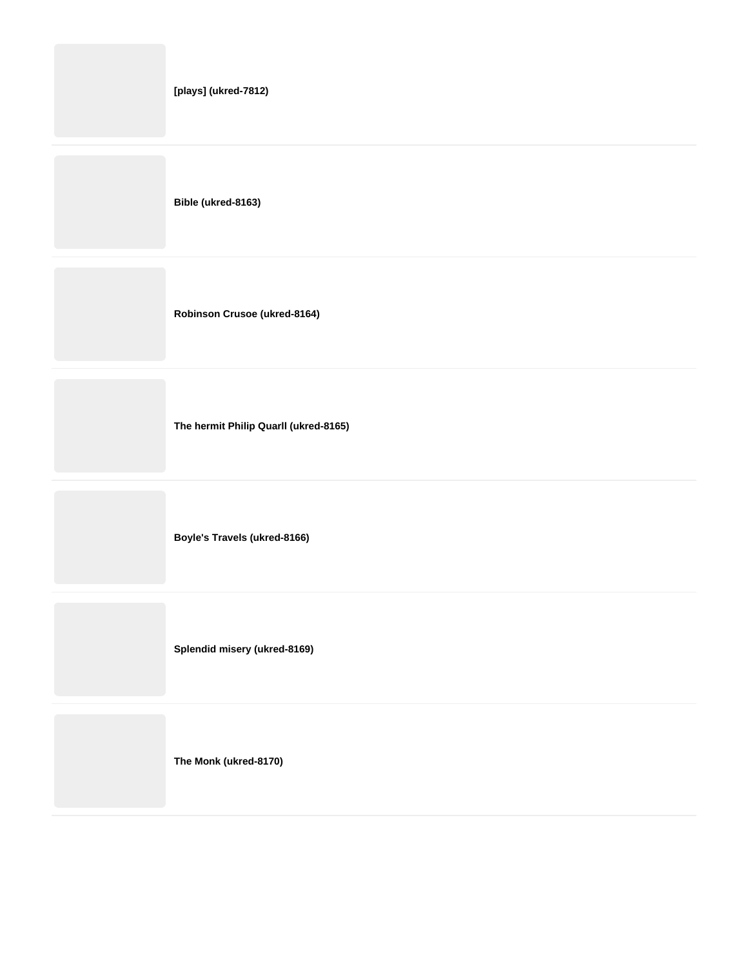**[plays] (ukred-7812)**

**Bible (ukred-8163)**

**Robinson Crusoe (ukred-8164)**

**The hermit Philip Quarll (ukred-8165)**

**Boyle's Travels (ukred-8166)**

**Splendid misery (ukred-8169)**

**The Monk (ukred-8170)**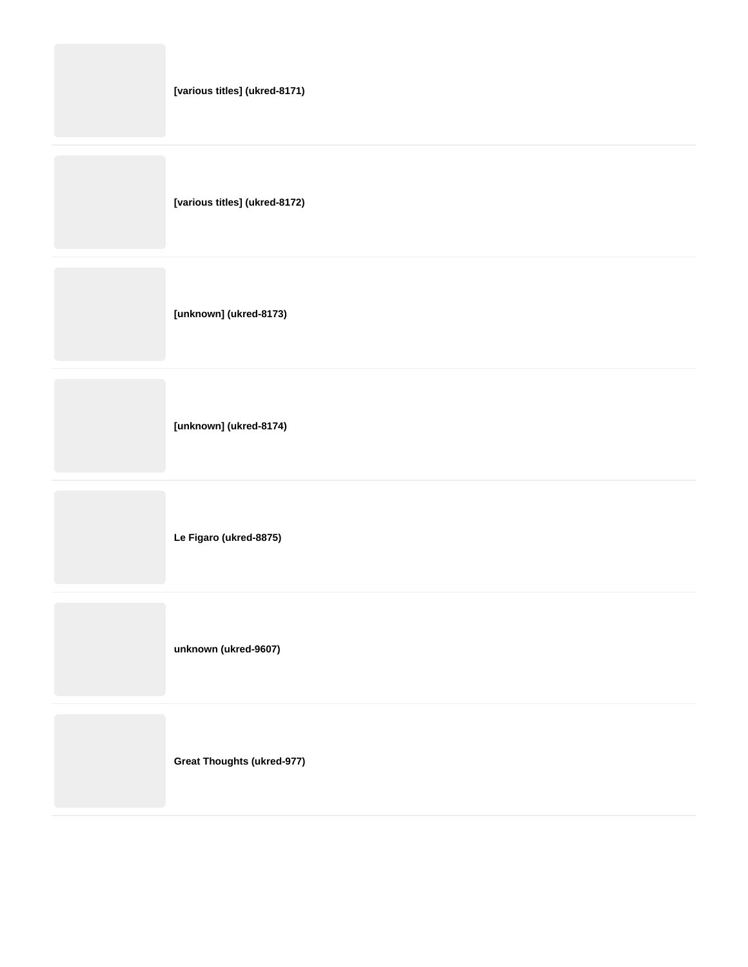| [various titles] (ukred-8171) |
|-------------------------------|
| [various titles] (ukred-8172) |
| [unknown] (ukred-8173)        |
|                               |

**[unknown] (ukred-8174)**

**Le Figaro (ukred-8875)**

**unknown (ukred-9607)**

**Great Thoughts (ukred-977)**